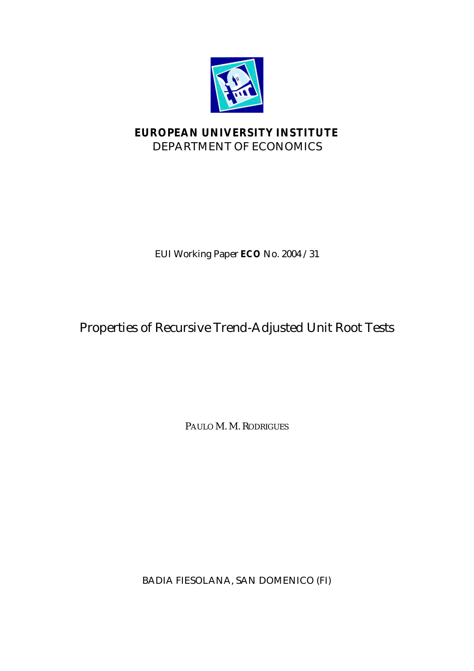

# **EUROPEAN UNIVERSITY INSTITUTE** DEPARTMENT OF ECONOMICS

EUI Working Paper **ECO** No. 2004 /31

# Properties of Recursive Trend-Adjusted Unit Root Tests

PAULO M. M. RODRIGUES

BADIA FIESOLANA, SAN DOMENICO (FI)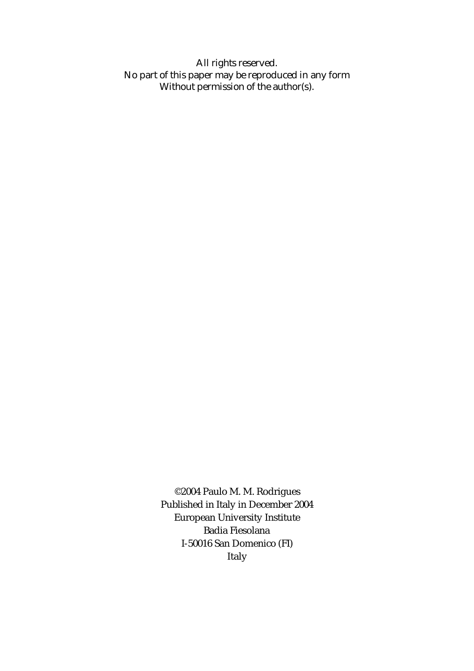All rights reserved. No part of this paper may be reproduced in any form Without permission of the author(s).

> ©2004 Paulo M. M. Rodrigues Published in Italy in December 2004 European University Institute Badia Fiesolana I-50016 San Domenico (FI) Italy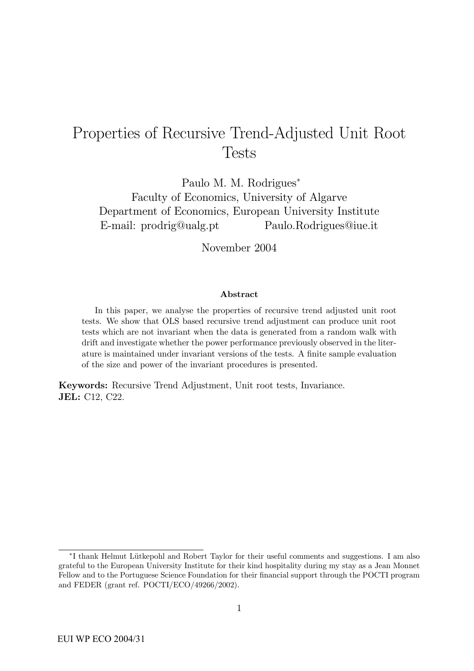# Properties of Recursive Trend-Adjusted Unit Root **Tests**

Paulo M. M. Rodrigues<sup>∗</sup>

Faculty of Economics, University of Algarve Department of Economics, European University Institute E-mail: prodrig@ualg.pt Paulo.Rodrigues@iue.it

November 2004

#### Abstract

In this paper, we analyse the properties of recursive trend adjusted unit root tests. We show that OLS based recursive trend adjustment can produce unit root tests which are not invariant when the data is generated from a random walk with drift and investigate whether the power performance previously observed in the literature is maintained under invariant versions of the tests. A finite sample evaluation of the size and power of the invariant procedures is presented.

Keywords: Recursive Trend Adjustment, Unit root tests, Invariance. JEL: C12, C22.

<sup>∗</sup>I thank Helmut L¨utkepohl and Robert Taylor for their useful comments and suggestions. I am also grateful to the European University Institute for their kind hospitality during my stay as a Jean Monnet Fellow and to the Portuguese Science Foundation for their financial support through the POCTI program and FEDER (grant ref. POCTI/ECO/49266/2002).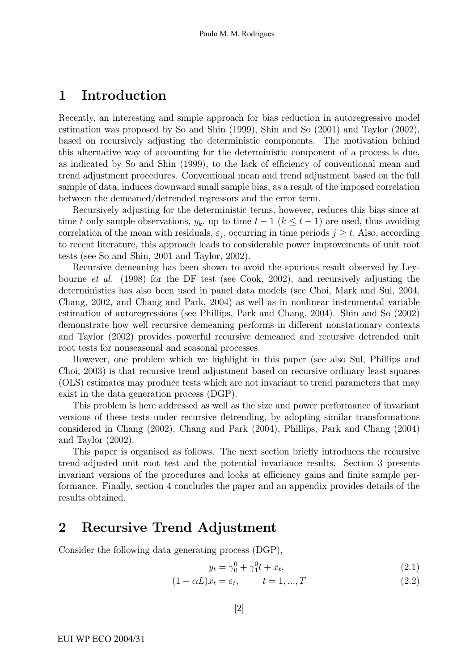## 1 Introduction

Recently, an interesting and simple approach for bias reduction in autoregressive model estimation was proposed by So and Shin (1999), Shin and So (2001) and Taylor (2002), based on recursively adjusting the deterministic components. The motivation behind this alternative way of accounting for the deterministic component of a process is due, as indicated by So and Shin (1999), to the lack of efficiency of conventional mean and trend adjustment procedures. Conventional mean and trend adjustment based on the full sample of data, induces downward small sample bias, as a result of the imposed correlation between the demeaned/detrended regressors and the error term.

Recursively adjusting for the deterministic terms, however, reduces this bias since at time t only sample observations,  $y_k$ , up to time  $t-1$  ( $k \leq t-1$ ) are used, thus avoiding correlation of the mean with residuals,  $\varepsilon_i$ , occurring in time periods  $j \geq t$ . Also, according to recent literature, this approach leads to considerable power improvements of unit root tests (see So and Shin, 2001 and Taylor, 2002).

Recursive demeaning has been shown to avoid the spurious result observed by Leybourne et al. (1998) for the DF test (see Cook, 2002), and recursively adjusting the deterministics has also been used in panel data models (see Choi, Mark and Sul, 2004, Chang, 2002, and Chang and Park, 2004) as well as in nonlinear instrumental variable estimation of autoregressions (see Phillips, Park and Chang, 2004). Shin and So (2002) demonstrate how well recursive demeaning performs in different nonstationary contexts and Taylor (2002) provides powerful recursive demeaned and recursive detrended unit root tests for nonseasonal and seasonal processes.

However, one problem which we highlight in this paper (see also Sul, Phillips and Choi, 2003) is that recursive trend adjustment based on recursive ordinary least squares (OLS) estimates may produce tests which are not invariant to trend parameters that may exist in the data generation process (DGP).

This problem is here addressed as well as the size and power performance of invariant versions of these tests under recursive detrending, by adopting similar transformations considered in Chang (2002), Chang and Park (2004), Phillips, Park and Chang (2004) and Taylor (2002).

This paper is organised as follows. The next section briefly introduces the recursive trend-adjusted unit root test and the potential invariance results. Section 3 presents invariant versions of the procedures and looks at efficiency gains and finite sample performance. Finally, section 4 concludes the paper and an appendix provides details of the results obtained.

### 2 Recursive Trend Adjustment

Consider the following data generating process (DGP),

$$
y_t = \gamma_0^0 + \gamma_1^0 t + x_t, \tag{2.1}
$$

$$
(1 - \alpha L)x_t = \varepsilon_t, \qquad t = 1, ..., T
$$
\n(2.2)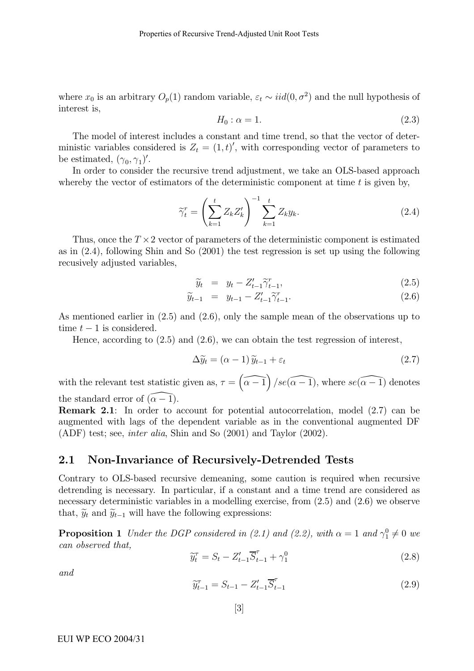where  $x_0$  is an arbitrary  $O_p(1)$  random variable,  $\varepsilon_t \sim iid(0, \sigma^2)$  and the null hypothesis of interest is,

$$
H_0: \alpha = 1. \tag{2.3}
$$

The model of interest includes a constant and time trend, so that the vector of deterministic variables considered is  $Z_t = (1, t)'$ , with corresponding vector of parameters to be estimated,  $(\gamma_0, \gamma_1)'$ .

In order to consider the recursive trend adjustment, we take an OLS-based approach whereby the vector of estimators of the deterministic component at time  $t$  is given by,

$$
\widetilde{\gamma}_t^r = \left(\sum_{k=1}^t Z_k Z_k'\right)^{-1} \sum_{k=1}^t Z_k y_k. \tag{2.4}
$$

Thus, once the  $T \times 2$  vector of parameters of the deterministic component is estimated as in (2.4), following Shin and So (2001) the test regression is set up using the following recusively adjusted variables,

$$
\widetilde{y}_t = y_t - Z_{t-1}' \widetilde{\gamma}_{t-1}^r,\tag{2.5}
$$

$$
\widetilde{y}_{t-1} = y_{t-1} - Z_{t-1}' \widetilde{\gamma}_{t-1}^r.
$$
\n(2.6)

As mentioned earlier in (2.5) and (2.6), only the sample mean of the observations up to time  $t-1$  is considered.

Hence, according to (2.5) and (2.6), we can obtain the test regression of interest,

$$
\Delta \widetilde{y}_t = (\alpha - 1) \widetilde{y}_{t-1} + \varepsilon_t \tag{2.7}
$$

with the relevant test statistic given as,  $\tau = (\widehat{\alpha - 1})$  /se( $\widehat{\alpha - 1}$ ), where se( $\widehat{\alpha - 1}$ ) denotes the standard error of  $(\alpha - \overline{1})$ .

Remark 2.1: In order to account for potential autocorrelation, model (2.7) can be augmented with lags of the dependent variable as in the conventional augmented DF (ADF) test; see, inter alia, Shin and So (2001) and Taylor (2002).

### 2.1 Non-Invariance of Recursively-Detrended Tests

Contrary to OLS-based recursive demeaning, some caution is required when recursive detrending is necessary. In particular, if a constant and a time trend are considered as necessary deterministic variables in a modelling exercise, from (2.5) and (2.6) we observe that,  $\widetilde{y}_t$  and  $\widetilde{y}_{t-1}$  will have the following expressions:

**Proposition 1** Under the DGP considered in (2.1) and (2.2), with  $\alpha = 1$  and  $\gamma_1^0 \neq 0$  we can observed that,

$$
\widetilde{y}_t^{\tau} = S_t - Z_{t-1}' \overline{S}_{t-1}^{\tau} + \gamma_1^0
$$
\n(2.8)

and

$$
\widetilde{y}_{t-1}^{\tau} = S_{t-1} - Z_{t-1}' \overline{S}_{t-1}^{\tau}
$$
\n(2.9)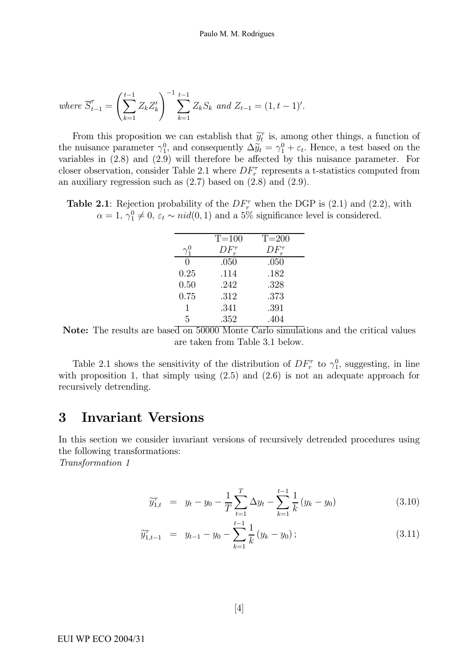where 
$$
\overline{S}_{t-1}^{\tau} = \left(\sum_{k=1}^{t-1} Z_k Z_k'\right)^{-1} \sum_{k=1}^{t-1} Z_k S_k
$$
 and  $Z_{t-1} = (1, t-1)'$ .

From this proposition we can establish that  $\widetilde{y}_t^{\tau}$  is, among other things, a function of the nuisance parameter  $\gamma_1^0$ , and consequently  $\Delta \tilde{y}_t = \gamma_1^0 + \varepsilon_t$ . Hence, a test based on the variables in (2.8) and (2.9) will therefore be affected by this nuisance parameter. For closer observation, consider Table 2.1 where  $DF_r^{\tau}$  represents a t-statistics computed from an auxiliary regression such as  $(2.7)$  based on  $(2.8)$  and  $(2.9)$ .

**Table 2.1**: Rejection probability of the  $DF_r^{\tau}$  when the DGP is (2.1) and (2.2), with  $\alpha = 1, \gamma_1^0 \neq 0, \varepsilon_t \sim \text{nid}(0, 1)$  and a 5% significance level is considered.

|      | $T = 100$       | $T = 200$     |
|------|-----------------|---------------|
|      | $DF_{r}^{\tau}$ | $DF_r^{\tau}$ |
| 0    | .050            | .050          |
| 0.25 | .114            | .182          |
| 0.50 | .242            | .328          |
| 0.75 | .312            | .373          |
| 1    | .341            | .391          |
| 5    | .352            | .404          |



Table 2.1 shows the sensitivity of the distribution of  $DF_r^{\tau}$  to  $\gamma_1^0$ , suggesting, in line with proposition 1, that simply using  $(2.5)$  and  $(2.6)$  is not an adequate approach for recursively detrending.

### 3 Invariant Versions

In this section we consider invariant versions of recursively detrended procedures using the following transformations:

Transformation 1

$$
\widetilde{y}_{1,t}^{\tau} = y_t - y_0 - \frac{1}{T} \sum_{t=1}^{T} \Delta y_t - \sum_{k=1}^{t-1} \frac{1}{k} (y_k - y_0)
$$
\n(3.10)

$$
\widetilde{y}_{1,t-1}^{\tau} = y_{t-1} - y_0 - \sum_{k=1}^{t-1} \frac{1}{k} (y_k - y_0); \qquad (3.11)
$$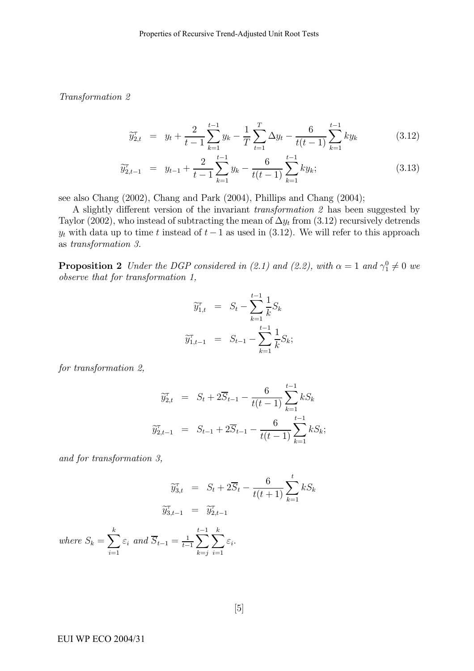Transformation 2

$$
\widetilde{y}_{2,t}^{\tau} = y_t + \frac{2}{t-1} \sum_{k=1}^{t-1} y_k - \frac{1}{T} \sum_{t=1}^{T} \Delta y_t - \frac{6}{t(t-1)} \sum_{k=1}^{t-1} k y_k \tag{3.12}
$$

$$
\widetilde{y}_{2,t-1}^{\tau} = y_{t-1} + \frac{2}{t-1} \sum_{k=1}^{t-1} y_k - \frac{6}{t(t-1)} \sum_{k=1}^{t-1} k y_k; \tag{3.13}
$$

see also Chang (2002), Chang and Park (2004), Phillips and Chang (2004);

A slightly different version of the invariant transformation 2 has been suggested by Taylor (2002), who instead of subtracting the mean of  $\Delta y_t$  from (3.12) recursively detrends  $y_t$  with data up to time t instead of  $t - 1$  as used in (3.12). We will refer to this approach as transformation 3.

**Proposition 2** Under the DGP considered in (2.1) and (2.2), with  $\alpha = 1$  and  $\gamma_1^0 \neq 0$  we observe that for transformation 1,

$$
\widetilde{y}_{1,t}^{\tau} = S_t - \sum_{k=1}^{t-1} \frac{1}{k} S_k
$$

$$
\widetilde{y}_{1,t-1}^{\tau} = S_{t-1} - \sum_{k=1}^{t-1} \frac{1}{k} S_k;
$$

for transformation 2,

$$
\widetilde{y}_{2,t}^{\tau} = S_t + 2\overline{S}_{t-1} - \frac{6}{t(t-1)} \sum_{k=1}^{t-1} k S_k
$$
  

$$
\widetilde{y}_{2,t-1}^{\tau} = S_{t-1} + 2\overline{S}_{t-1} - \frac{6}{t(t-1)} \sum_{k=1}^{t-1} k S_k;
$$

and for transformation 3,

$$
\widetilde{y}_{3,t}^{\tau} = S_t + 2\overline{S}_t - \frac{6}{t(t+1)} \sum_{k=1}^t k S_k
$$
  

$$
\widetilde{y}_{3,t-1}^{\tau} = \widetilde{y}_{2,t-1}^{\tau}
$$
  
where  $S_k = \sum_{i=1}^k \varepsilon_i$  and  $\overline{S}_{t-1} = \frac{1}{t-1} \sum_{k=j}^{t-1} \sum_{i=1}^k \varepsilon_i$ .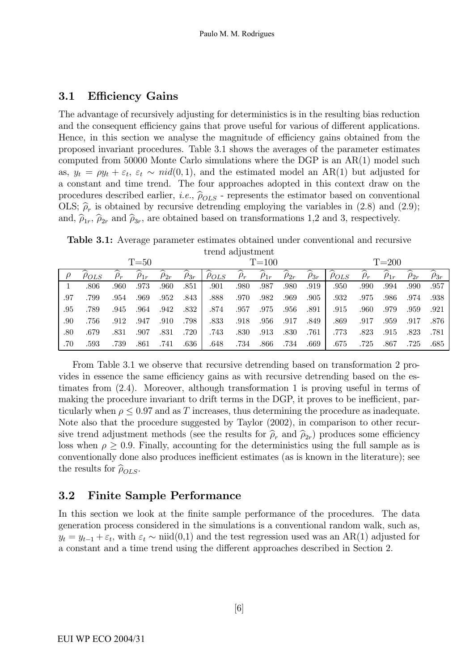### 3.1 Efficiency Gains

The advantage of recursively adjusting for deterministics is in the resulting bias reduction and the consequent efficiency gains that prove useful for various of different applications. Hence, in this section we analyse the magnitude of efficiency gains obtained from the proposed invariant procedures. Table 3.1 shows the averages of the parameter estimates computed from 50000 Monte Carlo simulations where the DGP is an AR(1) model such as,  $y_t = \rho y_t + \varepsilon_t$ ,  $\varepsilon_t \sim \text{nid}(0, 1)$ , and the estimated model an AR(1) but adjusted for a constant and time trend. The four approaches adopted in this context draw on the procedures described earlier, *i.e.*,  $\hat{\rho}_{OLS}$  - represents the estimator based on conventional OLS;  $\hat{\rho}_r$  is obtained by recursive detrending employing the variables in (2.8) and (2.9); and,  $\hat{\rho}_{1r}$ ,  $\hat{\rho}_{2r}$  and  $\hat{\rho}_{3r}$ , are obtained based on transformations 1,2 and 3, respectively.

Table 3.1: Average parameter estimates obtained under conventional and recursive trend adjustment

|     | $T = 50$     |      |             |             |             | $T = 100$    |          |             |             | $T = 200$   |              |          |             |             |             |
|-----|--------------|------|-------------|-------------|-------------|--------------|----------|-------------|-------------|-------------|--------------|----------|-------------|-------------|-------------|
|     | $\rho_{OLS}$ |      | $\rho_{1r}$ | $\rho_{2r}$ | $\rho_{3r}$ | $\rho_{OLS}$ | $\rho_r$ | $\rho_{1r}$ | $\rho_{2r}$ | $\rho_{3r}$ | $\rho_{OLS}$ | $\rho_r$ | $\rho_{1r}$ | $\rho_{2r}$ | $\rho_{3r}$ |
|     | .806         | .960 | .973        | .960        | .851        | .901         | .980     | .987        | .980        | .919        | .950         | .990     | .994        | .990        | .957        |
| .97 | .799         | .954 | .969        | .952        | .843        | .888         | .970     | .982        | .969        | .905        | .932         | .975     | .986        | .974        | .938        |
| .95 | .789         | .945 | .964        | .942        | .832        | .874         | .957     | .975        | .956        | .891        | .915         | .960     | .979        | .959        | .921        |
| .90 | .756         | .912 | .947        | .910        | .798        | .833         | .918     | .956        | .917        | .849        | .869         | .917     | .959        | .917        | .876        |
| .80 | .679         | .831 | .907        | .831        | .720        | .743         | .830     | .913        | .830        | .761        | .773         | .823     | .915        | .823        | .781        |
| .70 | .593         | .739 | .861        | .741        | .636        | .648         | .734     | .866        | .734        | .669        | .675         | .725     | .867        | .725        | .685        |

From Table 3.1 we observe that recursive detrending based on transformation 2 provides in essence the same efficiency gains as with recursive detrending based on the estimates from (2.4). Moreover, although transformation 1 is proving useful in terms of making the procedure invariant to drift terms in the DGP, it proves to be inefficient, particularly when  $\rho \leq 0.97$  and as T increases, thus determining the procedure as inadequate. Note also that the procedure suggested by Taylor (2002), in comparison to other recursive trend adjustment methods (see the results for  $\hat{\rho}_r$  and  $\hat{\rho}_{2r}$ ) produces some efficiency loss when  $\rho \geq 0.9$ . Finally, accounting for the deterministics using the full sample as is conventionally done also produces inefficient estimates (as is known in the literature); see the results for  $\hat{\rho}_{OLS}$ .

### 3.2 Finite Sample Performance

In this section we look at the finite sample performance of the procedures. The data generation process considered in the simulations is a conventional random walk, such as,  $y_t = y_{t-1} + \varepsilon_t$ , with  $\varepsilon_t \sim \text{niid}(0,1)$  and the test regression used was an AR(1) adjusted for a constant and a time trend using the different approaches described in Section 2.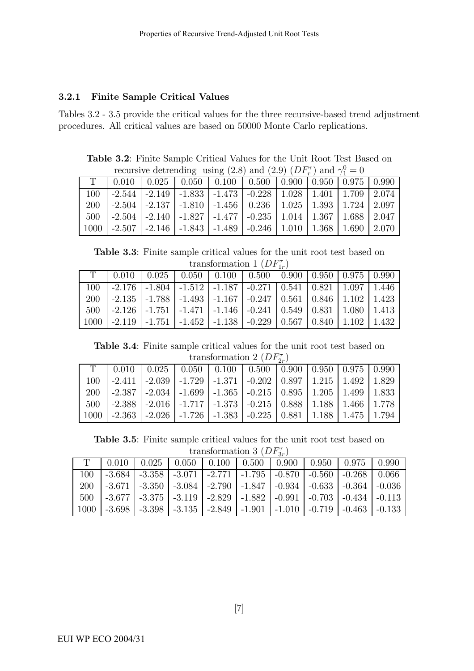### 3.2.1 Finite Sample Critical Values

Tables 3.2 - 3.5 provide the critical values for the three recursive-based trend adjustment procedures. All critical values are based on 50000 Monte Carlo replications.

Table 3.2: Finite Sample Critical Values for the Unit Root Test Based on recursive detrending using (2.8) and (2.9)  $(DF_r^{\tau})$  and  $\gamma_1^0 = 0$ 

| recain to decremantly again (2.0) and (2.0) ( $D I_r$ ) and ( |  |  |  |  |                                                                                             |  |  |  |  |  |  |
|---------------------------------------------------------------|--|--|--|--|---------------------------------------------------------------------------------------------|--|--|--|--|--|--|
|                                                               |  |  |  |  | $T$   0.010   0.025   0.050   0.100   0.500   0.900   0.950   0.975   0.990                 |  |  |  |  |  |  |
| 100                                                           |  |  |  |  | -2.544   -2.149   -1.833   -1.473   -0.228   1.028   1.401   1.709   2.074                  |  |  |  |  |  |  |
| 200                                                           |  |  |  |  | $-2.504$   $-2.137$   $-1.810$   $-1.456$   $0.236$   $1.025$   $1.393$   $1.724$   $2.097$ |  |  |  |  |  |  |
|                                                               |  |  |  |  | $500$   -2.504   -2.140   -1.827   -1.477   -0.235   1.014   1.367   1.688   2.047          |  |  |  |  |  |  |
|                                                               |  |  |  |  | $1000$   -2.507   -2.146   -1.843   -1.489   -0.246   1.010   1.368   1.690   2.070         |  |  |  |  |  |  |

Table 3.3: Finite sample critical values for the unit root test based on transformation 1  $(DF_{1r}^{\tau})$ 

|            | $T$   0.010   0.025   0.050   0.100   0.500   0.900   0.950   0.975   0.990                  |                                                                                              |  |  |  |  |
|------------|----------------------------------------------------------------------------------------------|----------------------------------------------------------------------------------------------|--|--|--|--|
| 100        |                                                                                              | $-2.176$   $-1.804$   $-1.512$   $-1.187$   $-0.271$   $0.541$   $0.821$   $1.097$   $1.446$ |  |  |  |  |
| <b>200</b> |                                                                                              | $-2.135$   $-1.788$   $-1.493$   $-1.167$   $-0.247$   $0.561$   $0.846$   $1.102$   $1.423$ |  |  |  |  |
| 500-       | $-2.126$   $-1.751$   $-1.471$   $-1.146$   $-0.241$   $0.549$   $0.831$   $1.080$   $1.413$ |                                                                                              |  |  |  |  |
| 1000       |                                                                                              | $-2.119$   $-1.751$   $-1.452$   $-1.138$   $-0.229$   $0.567$   $0.840$   $1.102$   $1.432$ |  |  |  |  |

Table 3.4: Finite sample critical values for the unit root test based on transformation 2  $(DF_{2r}^{\tau})$ 

|        | $T \mid 0.010 \mid 0.025 \mid 0.050 \mid 0.100 \mid 0.500 \mid 0.900 \mid 0.950 \mid 0.975 \mid 0.990$ |                                                                                              |  |  |  |
|--------|--------------------------------------------------------------------------------------------------------|----------------------------------------------------------------------------------------------|--|--|--|
|        | -2.411   -2.039   -1.729   -1.371   -0.202   0.897   1.215   1.492   1.829                             |                                                                                              |  |  |  |
| 200-   | -2.387   -2.034   -1.699   -1.365   -0.215   0.895   1.205   1.499   1.833                             |                                                                                              |  |  |  |
| 500-   | $-2.388$   $-2.016$   $-1.717$   $-1.373$   $-0.215$   $0.888$   $1.188$   $1.466$   $1.778$           |                                                                                              |  |  |  |
| -1000- |                                                                                                        | $-2.363$   $-2.026$   $-1.726$   $-1.383$   $-0.225$   $0.881$   $1.188$   $1.475$   $1.794$ |  |  |  |

Table 3.5: Finite sample critical values for the unit root test based on transformation 3  $(DF_{3r}^{\tau})$ 

|      | $\alpha$ construction $\alpha$ ( $\beta$ + $\alpha$ ) |  |                                                                                                  |  |  |  |  |  |  |  |  |
|------|-------------------------------------------------------|--|--------------------------------------------------------------------------------------------------|--|--|--|--|--|--|--|--|
|      | 0.010                                                 |  | 0.025   0.050   0.100   0.500   0.900   0.950   0.975   0.990                                    |  |  |  |  |  |  |  |  |
| 100  |                                                       |  | $-3.684$   $-3.358$   $-3.071$   $-2.771$   $-1.795$   $-0.870$   $-0.560$   $-0.268$   $0.066$  |  |  |  |  |  |  |  |  |
| 200  |                                                       |  | $-3.671$ $-3.350$ $-3.084$ $-2.790$ $-1.847$ $-0.934$ $-0.633$ $-0.364$ $-0.036$                 |  |  |  |  |  |  |  |  |
| 500  |                                                       |  | $-3.677$   $-3.375$   $-3.119$   $-2.829$   $-1.882$   $-0.991$   $-0.703$   $-0.434$   $-0.113$ |  |  |  |  |  |  |  |  |
| 1000 |                                                       |  | $-3.698$   $-3.398$   $-3.135$   $-2.849$   $-1.901$   $-1.010$   $-0.719$   $-0.463$   $-0.133$ |  |  |  |  |  |  |  |  |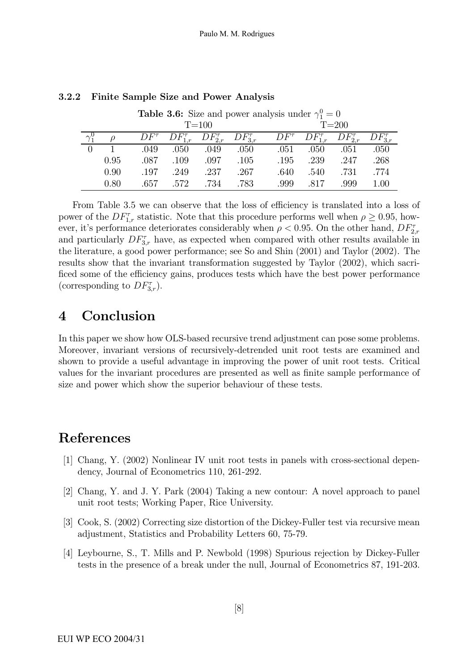| <b>Table 3.6:</b> Size and power analysis under $\gamma_1^0 = 0$ |             |      |                   |                  |             |           |      |          |  |  |  |
|------------------------------------------------------------------|-------------|------|-------------------|------------------|-------------|-----------|------|----------|--|--|--|
|                                                                  |             |      | $T = 100$         |                  |             | $T = 200$ |      |          |  |  |  |
|                                                                  | $DF^{\tau}$ |      | $DF_{2,r}^{\tau}$ | $DF_{3r}^{\tau}$ | $DF^{\tau}$ |           |      |          |  |  |  |
|                                                                  | .049        | .050 | .049              | .050             | .051        | .050      | .051 | .050     |  |  |  |
| 0.95                                                             | .087        | .109 | .097              | .105             | .195        | .239      | .247 | .268     |  |  |  |
| 0.90                                                             | .197        | .249 | .237              | .267             | .640        | .540      | .731 | .774     |  |  |  |
| 0.80                                                             | .657        | .572 | 734               | .783             | .999        | 817       | .999 | $1.00\,$ |  |  |  |

### 3.2.2 Finite Sample Size and Power Analysis

From Table 3.5 we can observe that the loss of efficiency is translated into a loss of power of the  $DF_{1,r}^{\tau}$  statistic. Note that this procedure performs well when  $\rho \geq 0.95$ , however, it's performance deteriorates considerably when  $\rho < 0.95$ . On the other hand,  $DF_{2,r}^{\tau}$ and particularly  $DF_{3,r}^{\tau}$  have, as expected when compared with other results available in the literature, a good power performance; see So and Shin (2001) and Taylor (2002). The results show that the invariant transformation suggested by Taylor (2002), which sacrificed some of the efficiency gains, produces tests which have the best power performance (corresponding to  $DF_{3,r}^{\tau}$ ).

## 4 Conclusion

In this paper we show how OLS-based recursive trend adjustment can pose some problems. Moreover, invariant versions of recursively-detrended unit root tests are examined and shown to provide a useful advantage in improving the power of unit root tests. Critical values for the invariant procedures are presented as well as finite sample performance of size and power which show the superior behaviour of these tests.

# References

- [1] Chang, Y. (2002) Nonlinear IV unit root tests in panels with cross-sectional dependency, Journal of Econometrics 110, 261-292.
- [2] Chang, Y. and J. Y. Park (2004) Taking a new contour: A novel approach to panel unit root tests; Working Paper, Rice University.
- [3] Cook, S. (2002) Correcting size distortion of the Dickey-Fuller test via recursive mean adjustment, Statistics and Probability Letters 60, 75-79.
- [4] Leybourne, S., T. Mills and P. Newbold (1998) Spurious rejection by Dickey-Fuller tests in the presence of a break under the null, Journal of Econometrics 87, 191-203.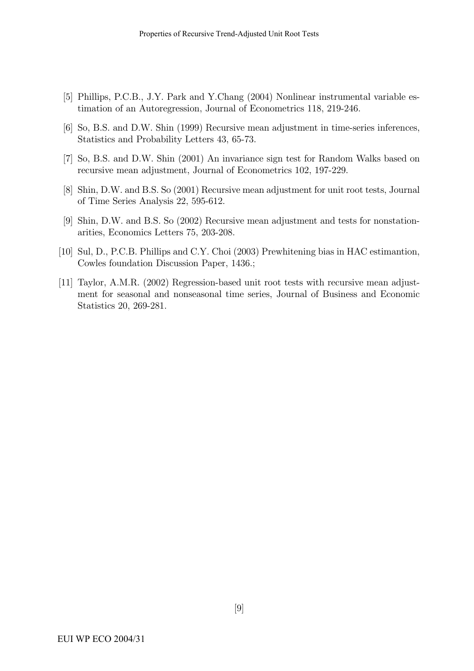- [5] Phillips, P.C.B., J.Y. Park and Y.Chang (2004) Nonlinear instrumental variable estimation of an Autoregression, Journal of Econometrics 118, 219-246.
- [6] So, B.S. and D.W. Shin (1999) Recursive mean adjustment in time-series inferences, Statistics and Probability Letters 43, 65-73.
- [7] So, B.S. and D.W. Shin (2001) An invariance sign test for Random Walks based on recursive mean adjustment, Journal of Econometrics 102, 197-229.
- [8] Shin, D.W. and B.S. So (2001) Recursive mean adjustment for unit root tests, Journal of Time Series Analysis 22, 595-612.
- [9] Shin, D.W. and B.S. So (2002) Recursive mean adjustment and tests for nonstationarities, Economics Letters 75, 203-208.
- [10] Sul, D., P.C.B. Phillips and C.Y. Choi (2003) Prewhitening bias in HAC estimantion, Cowles foundation Discussion Paper, 1436.;
- [11] Taylor, A.M.R. (2002) Regression-based unit root tests with recursive mean adjustment for seasonal and nonseasonal time series, Journal of Business and Economic Statistics 20, 269-281.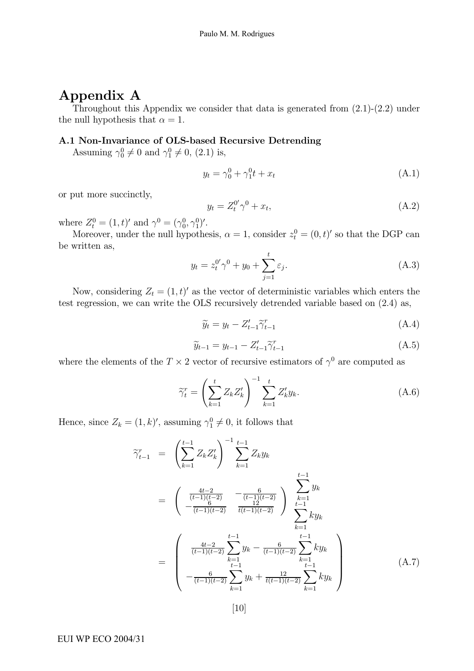# Appendix A

Throughout this Appendix we consider that data is generated from (2.1)-(2.2) under the null hypothesis that  $\alpha = 1$ .

### A.1 Non-Invariance of OLS-based Recursive Detrending

Assuming  $\gamma_0^0 \neq 0$  and  $\gamma_1^0 \neq 0$ , (2.1) is,

$$
y_t = \gamma_0^0 + \gamma_1^0 t + x_t \tag{A.1}
$$

or put more succinctly,

$$
y_t = Z_t^{0'} \gamma^0 + x_t,\tag{A.2}
$$

where  $Z_t^0 = (1, t)'$  and  $\gamma^0 = (\gamma_0^0, \gamma_1^0)'$ .

Moreover, under the null hypothesis,  $\alpha = 1$ , consider  $z_t^0 = (0, t)'$  so that the DGP can be written as,

$$
y_t = z_t^{0'} \gamma^0 + y_0 + \sum_{j=1}^t \varepsilon_j.
$$
 (A.3)

Now, considering  $Z_t = (1, t)'$  as the vector of deterministic variables which enters the test regression, we can write the OLS recursively detrended variable based on (2.4) as,

$$
\widetilde{y}_t = y_t - Z_{t-1}' \widetilde{\gamma}_{t-1}^r \tag{A.4}
$$

$$
\widetilde{y}_{t-1} = y_{t-1} - Z'_{t-1} \widetilde{\gamma}^r_{t-1}
$$
\n(A.5)

where the elements of the  $T \times 2$  vector of recursive estimators of  $\gamma^0$  are computed as

$$
\widetilde{\gamma}_t^r = \left(\sum_{k=1}^t Z_k Z_k'\right)^{-1} \sum_{k=1}^t Z_k' y_k.
$$
\n(A.6)

Hence, since  $Z_k = (1, k)'$ , assuming  $\gamma_1^0 \neq 0$ , it follows that

$$
\widetilde{\gamma}_{t-1}^{r} = \left(\sum_{k=1}^{t-1} Z_k Z_k'\right)^{-1} \sum_{k=1}^{t-1} Z_k y_k
$$
\n
$$
= \left(\begin{array}{cc} \frac{4t-2}{(t-1)(t-2)} & -\frac{6}{(t-1)(t-2)} \\ -\frac{6}{(t-1)(t-2)} & \frac{12}{t(1-t-1)(t-2)} \end{array}\right) \sum_{\substack{k=1 \ k=1 \ k=1}}^{t-1} y_k
$$
\n
$$
= \left(\begin{array}{cc} \frac{4t-2}{(t-1)(t-2)} \sum_{k=1}^{t-1} y_k - \frac{6}{(t-1)(t-2)} \sum_{k=1}^{t-1} k y_k \\ -\frac{6}{(t-1)(t-2)} \sum_{k=1}^{t-1} y_k + \frac{12}{t(t-1)(t-2)} \sum_{k=1}^{t} k y_k \\ -\frac{6}{(t-1)(t-2)} \sum_{k=1}^{t} y_k + \frac{12}{t(t-1)(t-2)} \sum_{k=1}^{t} k y_k \end{array}\right) (A.7)
$$

EUI WP ECO 2004/31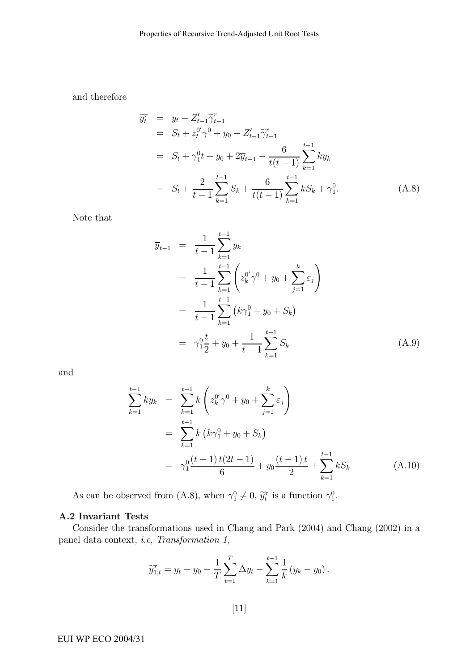and therefore

$$
\widetilde{y}_{t}^{\tau} = y_{t} - Z_{t-1}^{\prime} \widetilde{\gamma}_{t-1}^{\tau}
$$
\n
$$
= S_{t} + z_{t}^{0} \gamma^{0} + y_{0} - Z_{t-1}^{\prime} \widetilde{\gamma}_{t-1}^{\tau}
$$
\n
$$
= S_{t} + \gamma_{1}^{0} t + y_{0} + 2 \overline{y}_{t-1} - \frac{6}{t(t-1)} \sum_{k=1}^{t-1} k y_{k}
$$
\n
$$
= S_{t} + \frac{2}{t-1} \sum_{k=1}^{t-1} S_{k} + \frac{6}{t(t-1)} \sum_{k=1}^{t-1} k S_{k} + \gamma_{1}^{0}.
$$
\n(A.8)

Note that

$$
\overline{y}_{t-1} = \frac{1}{t-1} \sum_{k=1}^{t-1} y_k
$$
\n
$$
= \frac{1}{t-1} \sum_{k=1}^{t-1} \left( z_k^{0'} \gamma^0 + y_0 + \sum_{j=1}^k \varepsilon_j \right)
$$
\n
$$
= \frac{1}{t-1} \sum_{k=1}^{t-1} \left( k \gamma_1^0 + y_0 + S_k \right)
$$
\n
$$
= \gamma_1^0 \frac{t}{2} + y_0 + \frac{1}{t-1} \sum_{k=1}^{t-1} S_k \tag{A.9}
$$

and

$$
\sum_{k=1}^{t-1} ky_k = \sum_{k=1}^{t-1} k \left( z_k^{0'} \gamma^0 + y_0 + \sum_{j=1}^k \varepsilon_j \right)
$$
  
= 
$$
\sum_{k=1}^{t-1} k \left( k \gamma_1^0 + y_0 + S_k \right)
$$
  
= 
$$
\gamma_1^0 \frac{(t-1) t (2t-1)}{6} + y_0 \frac{(t-1) t}{2} + \sum_{k=1}^{t-1} k S_k
$$
 (A.10)

As can be observed from (A.8), when  $\gamma_1^0 \neq 0$ ,  $\tilde{y}_t^{\tau}$  is a function  $\gamma_1^0$ .

#### A.2 Invariant Tests

Consider the transformations used in Chang and Park (2004) and Chang (2002) in a panel data context, i.e, Transformation 1,

$$
\widetilde{y}_{1,t}^{\tau} = y_t - y_0 - \frac{1}{T} \sum_{t=1}^{T} \Delta y_t - \sum_{k=1}^{t-1} \frac{1}{k} (y_k - y_0).
$$